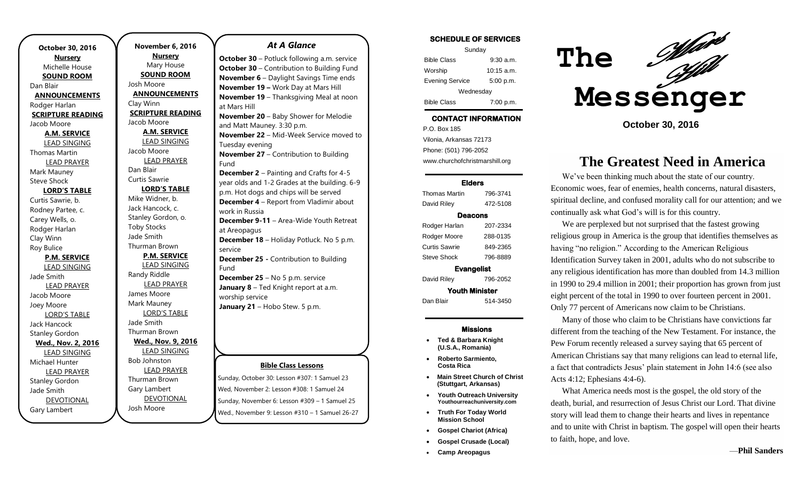**October 30, 2016 Nursery** Michelle House **SOUND ROOM** Dan Blair **ANNOUNCEMENTS** Rodger Harlan **SCRIPTURE READING** Jacob Moore **A.M. SERVICE** LEAD SINGING Thomas Martin LEAD PRAYER Mark Mauney Steve Shock **LORD'S TABLE** Curtis Sawrie, b. Rodney Partee, c. Carey Wells, o. Rodger Harlan Clay Winn Roy Bulice **P.M. SERVICE** LEAD SINGING Jade Smith LEAD PRAYER Jacob Moore Joey Moore LORD'S TABLE Jack Hancock Stanley Gordon **Wed., Nov. 2, 2016** LEAD SINGING Michael Hunter LEAD PRAYER Stanley Gordon Jade Smith DEVOTIONAL Gary Lambert

**November 6, 2016 Nursery** Mary House **SOUND ROOM** Josh Moore **ANNOUNCEMENTS** Clay Winn **SCRIPTURE READING** Jacob Moore **A.M. SERVICE** LEAD SINGING Jacob Moore LEAD PRAYER Dan Blair Curtis Sawrie **LORD'S TABLE** Mike Widner, b. Jack Hancock, c. Stanley Gordon, o. Toby Stocks Jade Smith Thurman Brown **P.M. SERVICE** LEAD SINGING Randy Riddle LEAD PRAYER James Moore Mark Mauney LORD'S TABLE Jade Smith Thurman Brown **Wed., Nov. 9, 2016** LEAD SINGING Bob Johnston LEAD PRAYER Thurman Brown Gary Lambert

DEVOTIONAL

Josh Moore

#### *At A Glance*

**October 30** – Potluck following a.m. service **October 30 – Contribution to Building Fund November 6** – Daylight Savings Time ends **November 19 –** Work Day at Mars Hill **November 19** – Thanksgiving Meal at noon at Mars Hill **November 20** – Baby Shower for Melodie and Matt Mauney. 3:30 p.m. **November 22** – Mid-Week Service moved to Tuesday evening **November 27** – Contribution to Building Fund **December 2** – Painting and Crafts for 4-5 year olds and 1-2 Grades at the building. 6-9 p.m. Hot dogs and chips will be served **December 4** – Report from Vladimir about work in Russia **December 9-11** – Area-Wide Youth Retreat at Areopagus **December 18** – Holiday Potluck. No 5 p.m. service **December 25 -** Contribution to Building Fund **December 25** – No 5 p.m. service **January 8** – Ted Knight report at a.m. worship service January 21 - Hobo Stew. 5 p.m.

### **Bible Class Lessons**

Sunday, October 30: Lesson #307: 1 Samuel 23 Wed, November 2: Lesson #308: 1 Samuel 24 Sunday, November 6: Lesson #309 – 1 Samuel 25 Wed., November 9: Lesson #310 – 1 Samuel 26-27

| SUMEDULE OF SERVIGES   |              |
|------------------------|--------------|
| Sunday                 |              |
| <b>Bible Class</b>     | $9:30$ a.m.  |
| Worship                | $10:15$ a.m. |
| <b>Evening Service</b> | 5:00 p.m.    |

**SCHEDULE OF SERVICES** 

Wednesday Bible Class 7:00 p.m.

## **CONTACT INFORMATION**

. .o. Bex Tee<br>Vilonia, Arkansas 72173 P.O. Box 185 Phone: (501) 796-2052 www.churchofchristmarshill.org

#### **Elders**

Thomas Martin 796-3741 David Riley 472-5108 **Deacons**  Rodger Harlan 207-2334 Rodger Moore 288-0135 Curtis Sawrie 849-2365 Steve Shock 796-8889 **Evangelist**  David Riley 796-2052 **Youth Minister**  Dan Blair 514-3450

#### **Missions**

- **Ted & Barbara Knight (U.S.A., Romania)**
- **Roberto Sarmiento, Costa Rica**
- **Main Street Church of Christ (Stuttgart, Arkansas)**
- **Youth Outreach University Youthourreachuniversity.com**
- **Truth For Today World Mission School**
- **Gospel Chariot (Africa)**
- **Gospel Crusade (Local)**
- **Camp Areopagus**



**October 30, 2016**

## **The Greatest Need in America**

We've been thinking much about the state of our country. Economic woes, fear of enemies, health concerns, natural disasters, spiritual decline, and confused morality call for our attention; and we continually ask what God's will is for this country.

We are perplexed but not surprised that the fastest growing religious group in America is the group that identifies themselves as having "no religion." According to the American Religious Identification Survey taken in 2001, adults who do not subscribe to any religious identification has more than doubled from 14.3 million in 1990 to 29.4 million in 2001; their proportion has grown from just eight percent of the total in 1990 to over fourteen percent in 2001. Only 77 percent of Americans now claim to be Christians.

Many of those who claim to be Christians have convictions far different from the teaching of the New Testament. For instance, the Pew Forum recently released a survey saying that 65 percent of American Christians say that many religions can lead to eternal life, a fact that contradicts Jesus' plain statement in John 14:6 (see also Acts 4:12; Ephesians 4:4-6).

What America needs most is the gospel, the old story of the death, burial, and resurrection of Jesus Christ our Lord. That divine story will lead them to change their hearts and lives in repentance and to unite with Christ in baptism. The gospel will open their hearts to faith, hope, and love.